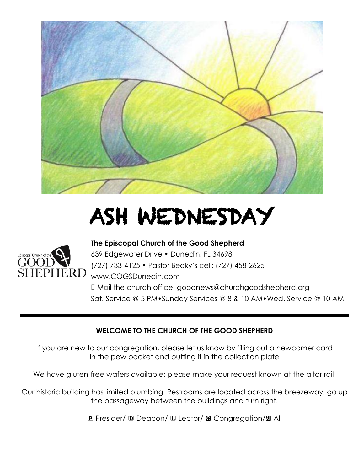

# ASH WEDNESDAY



# **The Episcopal Church of the Good Shepherd**

639 Edgewater Drive • Dunedin, FL 34698 (727) 733-4125 • Pastor Becky's cell: (727) 458-2625 [www.COGSDunedin.com](http://www.cogsdunedin.com/) E-Mail the church office: [goodnews@churchgoodshepherd.org](mailto:goodnews@churchgoodshepherd.org) Sat. Service @ 5 PM•Sunday Services @ 8 & 10 AM•Wed. Service @ 10 AM

# **WELCOME TO THE CHURCH OF THE GOOD SHEPHERD**

If you are new to our congregation, please let us know by filling out a newcomer card in the pew pocket and putting it in the collection plate

We have gluten-free wafers available: please make your request known at the altar rail.

Our historic building has limited plumbing. Restrooms are located across the breezeway; go up the passageway between the buildings and turn right.

P Presider/ D Deacon/ L Lector/ C Congregation/M All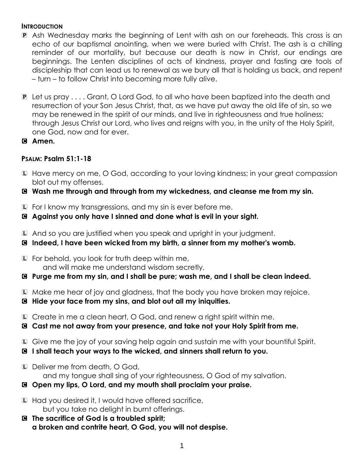## **INTRODUCTION**

- P Ash Wednesday marks the beginning of Lent with ash on our foreheads. This cross is an echo of our baptismal anointing, when we were buried with Christ. The ash is a chilling reminder of our mortality, but because our death is now in Christ, our endings are beginnings. The Lenten disciplines of acts of kindness, prayer and fasting are tools of discipleship that can lead us to renewal as we bury all that is holding us back, and repent – turn – to follow Christ into becoming more fully alive.
- P Let us pray . . . . Grant, O Lord God, to all who have been baptized into the death and resurrection of your Son Jesus Christ, that, as we have put away the old life of sin, so we may be renewed in the spirit of our minds, and live in righteousness and true holiness; through Jesus Christ our Lord, who lives and reigns with you, in the unity of the Holy Spirit, one God, now and for ever.
- C **Amen.**

# **PSALM: Psalm 51:1-18**

- L Have mercy on me, O God, according to your loving kindness; in your great compassion blot out my offenses.
- C **Wash me through and through from my wickedness, and cleanse me from my sin.**
- L For I know my transgressions, and my sin is ever before me.
- C **Against you only have I sinned and done what is evil in your sight.**
- L And so you are justified when you speak and upright in your judgment.
- C **Indeed, I have been wicked from my birth, a sinner from my mother's womb.**
- **For behold, you look for truth deep within me,** and will make me understand wisdom secretly.
- C **Purge me from my sin, and I shall be pure; wash me, and I shall be clean indeed.**
- L Make me hear of joy and gladness, that the body you have broken may rejoice.
- C **Hide your face from my sins, and blot out all my iniquities.**
- L Create in me a clean heart, O God, and renew a right spirit within me.
- C **Cast me not away from your presence, and take not your Holy Spirit from me.**
- L Give me the joy of your saving help again and sustain me with your bountiful Spirit.
- C **I shall teach your ways to the wicked, and sinners shall return to you.**
- L Deliver me from death, O God, and my tongue shall sing of your righteousness, O God of my salvation.
- C **Open my lips, O Lord, and my mouth shall proclaim your praise.**
- L Had you desired it, I would have offered sacrifice, but you take no delight in burnt offerings.
- C **The sacrifice of God is a troubled spirit; a broken and contrite heart, O God, you will not despise.**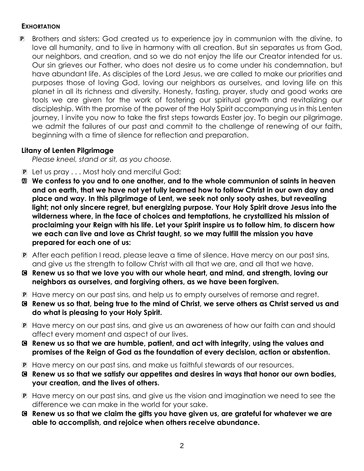## **EXHORTATION**

P Brothers and sisters: God created us to experience joy in communion with the divine, to love all humanity, and to live in harmony with all creation. But sin separates us from God, our neighbors, and creation, and so we do not enjoy the life our Creator intended for us. Our sin grieves our Father, who does not desire us to come under his condemnation, but have abundant life. As disciples of the Lord Jesus, we are called to make our priorities and purposes those of loving God, loving our neighbors as ourselves, and loving life on this planet in all its richness and diversity. Honesty, fasting, prayer, study and good works are tools we are given for the work of fostering our spiritual growth and revitalizing our discipleship. With the promise of the power of the Holy Spirit accompanying us in this Lenten journey, I invite you now to take the first steps towards Easter joy. To begin our pilgrimage, we admit the failures of our past and commit to the challenge of renewing of our faith, beginning with a time of silence for reflection and preparation.

## **Litany of Lenten Pilgrimage**

*Please kneel, stand or sit, as you choose.*

- P Let us pray . . . Most holy and merciful God:
- a **We confess to you and to one another, and to the whole communion of saints in heaven and on earth, that we have not yet fully learned how to follow Christ in our own day and place and way. In this pilgrimage of Lent, we seek not only sooty ashes, but revealing light; not only sincere regret, but energizing purpose. Your Holy Spirit drove Jesus into the wilderness where, in the face of choices and temptations, he crystallized his mission of proclaiming your Reign with his life. Let your Spirit inspire us to follow him, to discern how we each can live and love as Christ taught, so we may fulfill the mission you have prepared for each one of us:**
- P After each petition I read, please leave a time of silence. Have mercy on our past sins, and give us the strength to follow Christ with all that we are, and all that we have.
- C **Renew us so that we love you with our whole heart, and mind, and strength, loving our neighbors as ourselves, and forgiving others, as we have been forgiven.**
- P Have mercy on our past sins, and help us to empty ourselves of remorse and regret.
- C **Renew us so that, being true to the mind of Christ, we serve others as Christ served us and do what is pleasing to your Holy Spirit.**
- P Have mercy on our past sins, and give us an awareness of how our faith can and should affect every moment and aspect of our lives.
- C **Renew us so that we are humble, patient, and act with integrity, using the values and promises of the Reign of God as the foundation of every decision, action or abstention.**
- P Have mercy on our past sins, and make us faithful stewards of our resources.
- C **Renew us so that we satisfy our appetites and desires in ways that honor our own bodies, your creation, and the lives of others.**
- P Have mercy on our past sins, and give us the vision and imagination we need to see the difference we can make in the world for your sake.
- C **Renew us so that we claim the gifts you have given us, are grateful for whatever we are able to accomplish, and rejoice when others receive abundance.**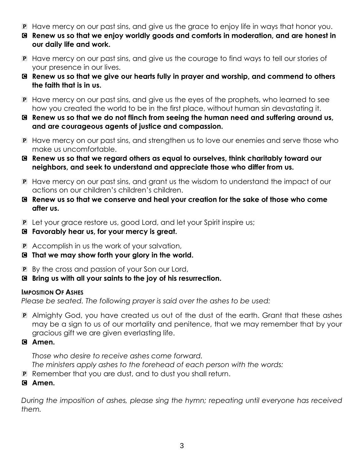- P Have mercy on our past sins, and give us the grace to enjoy life in ways that honor you.
- C **Renew us so that we enjoy worldly goods and comforts in moderation, and are honest in our daily life and work.**
- P Have mercy on our past sins, and give us the courage to find ways to tell our stories of your presence in our lives.
- C **Renew us so that we give our hearts fully in prayer and worship, and commend to others the faith that is in us.**
- P Have mercy on our past sins, and give us the eyes of the prophets, who learned to see how you created the world to be in the first place, without human sin devastating it.
- C **Renew us so that we do not flinch from seeing the human need and suffering around us, and are courageous agents of justice and compassion.**
- P Have mercy on our past sins, and strengthen us to love our enemies and serve those who make us uncomfortable.
- C **Renew us so that we regard others as equal to ourselves, think charitably toward our neighbors, and seek to understand and appreciate those who differ from us.**
- P Have mercy on our past sins, and grant us the wisdom to understand the impact of our actions on our children's children's children.
- C **Renew us so that we conserve and heal your creation for the sake of those who come after us.**
- P Let your grace restore us, good Lord, and let your Spirit inspire us;
- C **Favorably hear us, for your mercy is great.**
- P Accomplish in us the work of your salvation,
- C **That we may show forth your glory in the world.**
- P By the cross and passion of your Son our Lord,
- C **Bring us with all your saints to the joy of his resurrection.**

## **IMPOSITION OF ASHES**

*Please be seated. The following prayer is said over the ashes to be used:*

- P Almighty God, you have created us out of the dust of the earth. Grant that these ashes may be a sign to us of our mortality and penitence, that we may remember that by your gracious gift we are given everlasting life.
- C **Amen.**

*Those who desire to receive ashes come forward.* 

*The ministers apply ashes to the forehead of each person with the words:*

P Remember that you are dust, and to dust you shall return.

# C **Amen.**

*During the imposition of ashes, please sing the hymn; repeating until everyone has received them.*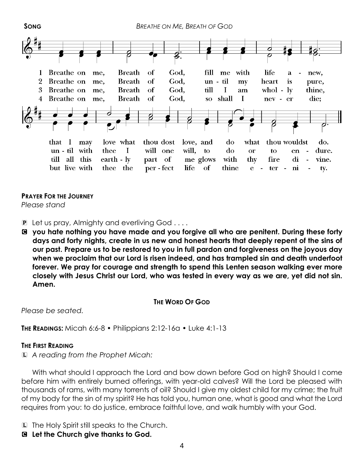

**PRAYER FOR THE JOURNEY** *Please stand*

- P Let us pray, Almighty and everliving God . . . .
- C **you hate nothing you have made and you forgive all who are penitent. During these forty days and forty nights, create in us new and honest hearts that deeply repent of the sins of our past. Prepare us to be restored to you in full pardon and forgiveness on the joyous day when we proclaim that our Lord is risen indeed, and has trampled sin and death underfoot forever. We pray for courage and strength to spend this Lenten season walking ever more closely with Jesus Christ our Lord, who was tested in every way as we are, yet did not sin. Amen.**

**THE WORD OF GOD**

*Please be seated.*

**THE READINGS:** Micah 6:6-8 • Philippians [2:12-16a](https://www.biblegateway.com/passage/?search=Philippians+2%3A12-16a&version=CEB) • Luke 4:1-13

## **THE FIRST READING**

L *A reading from the Prophet Micah:*

With what should I approach the Lord and bow down before God on high? Should I come before him with entirely burned offerings, with year-old calves? Will the Lord be pleased with thousands of rams, with many torrents of oil? Should I give my oldest child for my crime; the fruit of my body for the sin of my spirit? He has told you, human one, what is good and what the Lord requires from you: to do justice, embrace faithful love, and walk humbly with your God.

L The Holy Spirit still speaks to the Church.

C **Let the Church give thanks to God.**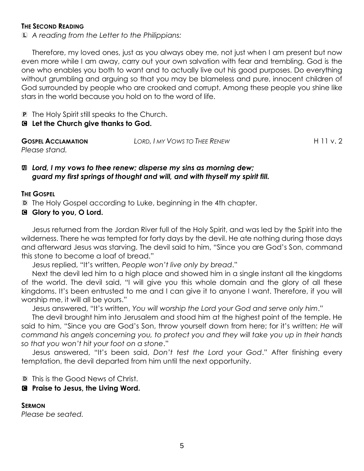#### **THE SECOND READING**

L *A reading from the Letter to the Philippians:*

Therefore, my loved ones, just as you always obey me, not just when I am present but now even more while I am away, carry out your own salvation with fear and trembling. God is the one who enables you both to want and to actually live out his good purposes. Do everything without grumbling and arguing so that you may be blameless and pure, innocent children of God surrounded by people who are crooked and corrupt. Among these people you shine like stars in the world because you hold on to the word of life.

P The Holy Spirit still speaks to the Church.

#### C **Let the Church give thanks to God.**

| <b>GOSPEL ACCLAMATION</b> | Lord, I my Vows to Thee Renew | H11v.2 |
|---------------------------|-------------------------------|--------|
| Please stand.             |                               |        |

#### a *Lord, I my vows to thee renew; disperse my sins as morning dew; guard my first springs of thought and will, and with thyself my spirit fill.*

#### **THE GOSPEL**

D The Holy Gospel according to Luke, beginning in the 4th chapter.

#### C **Glory to you, O Lord.**

Jesus returned from the Jordan River full of the Holy Spirit, and was led by the Spirit into the wilderness. There he was tempted for forty days by the devil. He ate nothing during those days and afterward Jesus was starving. The devil said to him, "Since you are God's Son, command this stone to become a loaf of bread."

Jesus replied, "It's written, *People won't live only by bread*."

Next the devil led him to a high place and showed him in a single instant all the kingdoms of the world. The devil said, "I will give you this whole domain and the glory of all these kingdoms. It's been entrusted to me and I can give it to anyone I want. Therefore, if you will worship me, it will all be yours."

Jesus answered, "It's written, *You will worship the Lord your God and serve only him*."

The devil brought him into Jerusalem and stood him at the highest point of the temple. He said to him, "Since you are God's Son, throw yourself down from here; for it's written: *He will command his angels concerning you, to protect you and they will take you up in their hands so that you won't hit your foot on a stone*."

Jesus answered, "It's been said, *Don't test the Lord your God*." After finishing every temptation, the devil departed from him until the next opportunity.

D This is the Good News of Christ.

#### C **Praise to Jesus, the Living Word.**

#### **SERMON**

*Please be seated.*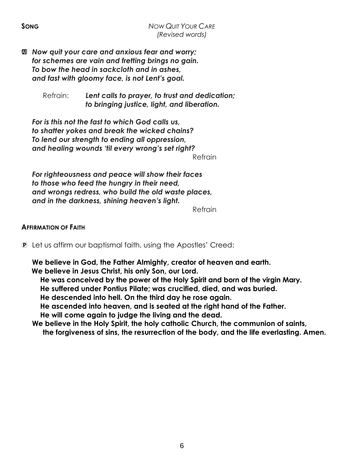a *Now quit your care and anxious fear and worry; for schemes are vain and fretting brings no gain. To bow the head in sackcloth and in ashes, and fast with gloomy face, is not Lent's goal.*

> Refrain: *Lent calls to prayer, to trust and dedication; to bringing justice, light, and liberation.*

*For is this not the fast to which God calls us, to shatter yokes and break the wicked chains? To lend our strength to ending all oppression, and healing wounds 'til every wrong's set right?*

Refrain

*For righteousness and peace will show their faces to those who feed the hungry in their need, and wrongs redress, who build the old waste places, and in the darkness, shining heaven's light.*

Refrain

## **AFFIRMATION OF FAITH**

P Let us affirm our baptismal faith, using the Apostles' Creed:

**We believe in God, the Father Almighty, creator of heaven and earth.** 

**We believe in Jesus Christ, his only Son, our Lord.** 

**He was conceived by the power of the Holy Spirit and born of the virgin Mary.** 

**He suffered under Pontius Pilate; was crucified, died, and was buried.** 

**He descended into hell. On the third day he rose again.** 

**He ascended into heaven, and is seated at the right hand of the Father.** 

**He will come again to judge the living and the dead.** 

**We believe in the Holy Spirit, the holy catholic Church, the communion of saints, the forgiveness of sins, the resurrection of the body, and the life everlasting. Amen.**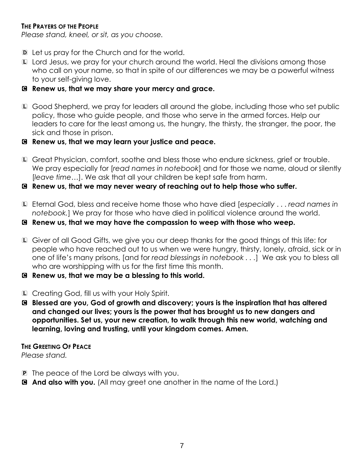## **THE PRAYERS OF THE PEOPLE**

*Please stand, kneel, or sit, as you choose.*

- D Let us pray for the Church and for the world.
- L Lord Jesus, we pray for your church around the world. Heal the divisions among those who call on your name, so that in spite of our differences we may be a powerful witness to your self-giving love.

## C **Renew us, that we may share your mercy and grace.**

L Good Shepherd, we pray for leaders all around the globe, including those who set public policy, those who guide people, and those who serve in the armed forces. Help our leaders to care for the least among us, the hungry, the thirsty, the stranger, the poor, the sick and those in prison.

## C **Renew us, that we may learn your justice and peace.**

L Great Physician, comfort, soothe and bless those who endure sickness, grief or trouble. We pray especially for [*read names in notebook*] and for those we name, aloud or silently [*leave time*…]. We ask that all your children be kept safe from harm.

## C **Renew us, that we may never weary of reaching out to help those who suffer.**

L Eternal God, bless and receive home those who have died [*especially* . . . *read names in notebook.*] We pray for those who have died in political violence around the world.

C **Renew us, that we may have the compassion to weep with those who weep.**

- L Giver of all Good Gifts, we give you our deep thanks for the good things of this life: for people who have reached out to us when we were hungry, thirsty, lonely, afraid, sick or in one of life's many prisons, [and for *read blessings in notebook . . .*] We ask you to bless all who are worshipping with us for the first time this month.
- C **Renew us, that we may be a blessing to this world.**
- L Creating God, fill us with your Holy Spirit.
- C **Blessed are you, God of growth and discovery; yours is the inspiration that has altered and changed our lives; yours is the power that has brought us to new dangers and opportunities. Set us, your new creation, to walk through this new world, watching and learning, loving and trusting, until your kingdom comes. Amen.**

## **THE GREETING OF PEACE**

*Please stand.*

- P The peace of the Lord be always with you.
- C **And also with you.** (All may greet one another in the name of the Lord.)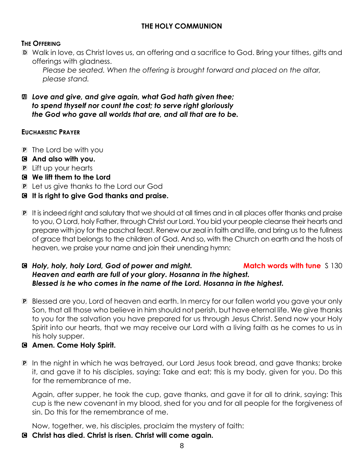# **THE HOLY COMMUNION**

## **THE OFFERING**

D Walk in love, as Christ loves us, an offering and a sacrifice to God. Bring your tithes, gifts and offerings with gladness.

*Please be seated. When the offering is brought forward and placed on the altar, please stand.*

a *Love and give, and give again, what God hath given thee; to spend thyself nor count the cost; to serve right gloriously the God who gave all worlds that are, and all that are to be.*

## **EUCHARISTIC PRAYER**

- P The Lord be with you
- C **And also with you.**
- P Lift up your hearts
- C **We lift them to the Lord**
- P Let us give thanks to the Lord our God
- C **It is right to give God thanks and praise.**
- P It is indeed right and salutary that we should at all times and in all places offer thanks and praise to you, O Lord, holy Father, through Christ our Lord. You bid your people cleanse their hearts and prepare with joy for the paschal feast. Renew our zeal in faith and life, and bring us to the fullness of grace that belongs to the children of God. And so, with the Church on earth and the hosts of heaven, we praise your name and join their unending hymn:

#### C *Holy, holy, holy Lord, God of power and might.* **Match words with tune** S 130 *Heaven and earth are full of your glory. Hosanna in the highest. Blessed is he who comes in the name of the Lord. Hosanna in the highest.*

- P Blessed are you, Lord of heaven and earth. In mercy for our fallen world you gave your only Son, that all those who believe in him should not perish, but have eternal life. We give thanks to you for the salvation you have prepared for us through Jesus Christ. Send now your Holy Spirit into our hearts, that we may receive our Lord with a living faith as he comes to us in his holy supper.
- C **Amen. Come Holy Spirit.**
- P In the night in which he was betrayed, our Lord Jesus took bread, and gave thanks; broke it, and gave it to his disciples, saying: Take and eat; this is my body, given for you. Do this for the remembrance of me.

Again, after supper, he took the cup, gave thanks, and gave it for all to drink, saying: This cup is the new covenant in my blood, shed for you and for all people for the forgiveness of sin. Do this for the remembrance of me.

Now, together, we, his disciples, proclaim the mystery of faith:

C **Christ has died. Christ is risen. Christ will come again.**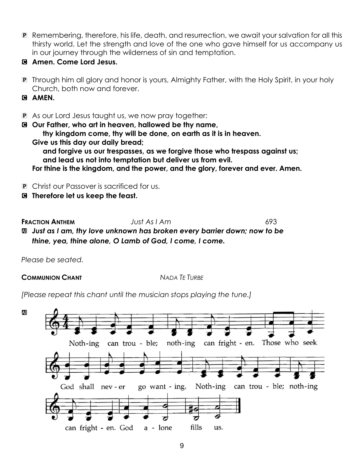- P Remembering, therefore, his life, death, and resurrection, we await your salvation for all this thirsty world. Let the strength and love of the one who gave himself for us accompany us in our journey through the wilderness of sin and temptation.
- C **Amen. Come Lord Jesus.**
- P Through him all glory and honor is yours, Almighty Father, with the Holy Spirit, in your holy Church, both now and forever.
- C **AMEN.**
- P As our Lord Jesus taught us, we now pray together:
- C **Our Father, who art in heaven, hallowed be thy name, thy kingdom come, thy will be done, on earth as it is in heaven. Give us this day our daily bread;**

**and forgive us our trespasses, as we forgive those who trespass against us; and lead us not into temptation but deliver us from evil.**

**For thine is the kingdom, and the power, and the glory, forever and ever. Amen.**

- **P** Christ our Passover is sacrificed for us.
- C **Therefore let us keep the feast.**

**FRACTION ANTHEM** *Just As I Am* 693 a *Just as I am, thy love unknown has broken every barrier down; now to be* 

*thine, yea, thine alone, O Lamb of God, I come, I come.*

*Please be seated.*

**COMMUNION CHANT** *NADA TE TURBE*

*[Please repeat this chant until the musician stops playing the tune.]*